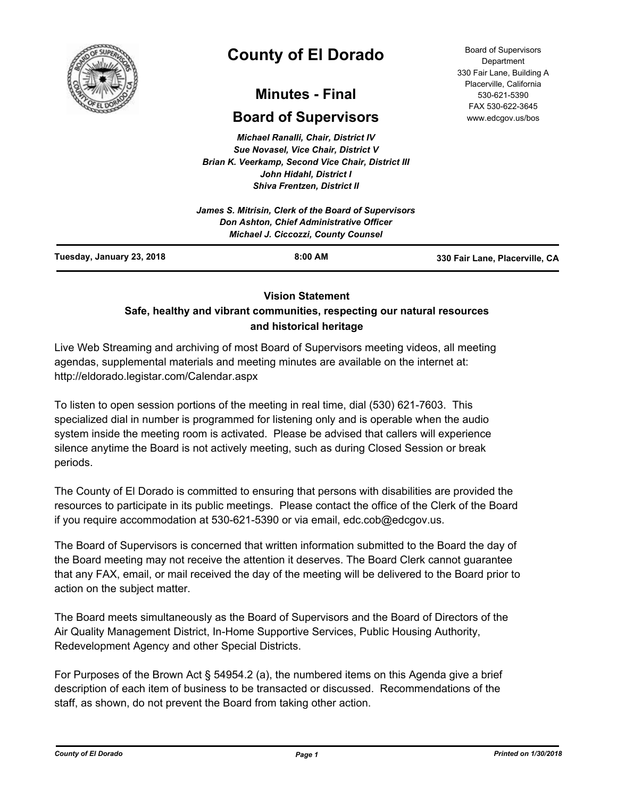

# **County of El Dorado**

## **Minutes - Final**

## **Board of Supervisors**

*Michael Ranalli, Chair, District IV Sue Novasel, Vice Chair, District V Brian K. Veerkamp, Second Vice Chair, District III John Hidahl, District I Shiva Frentzen, District II*

| Tuesday, January 23, 2018 | $8:00$ AM                                                                              | 330 Fair Lane, Placerville, CA |
|---------------------------|----------------------------------------------------------------------------------------|--------------------------------|
|                           | Don Ashton, Chief Administrative Officer<br><b>Michael J. Ciccozzi, County Counsel</b> |                                |
|                           | James S. Mitrisin, Clerk of the Board of Supervisors                                   |                                |

## **Vision Statement**

## **Safe, healthy and vibrant communities, respecting our natural resources and historical heritage**

Live Web Streaming and archiving of most Board of Supervisors meeting videos, all meeting agendas, supplemental materials and meeting minutes are available on the internet at: http://eldorado.legistar.com/Calendar.aspx

To listen to open session portions of the meeting in real time, dial (530) 621-7603. This specialized dial in number is programmed for listening only and is operable when the audio system inside the meeting room is activated. Please be advised that callers will experience silence anytime the Board is not actively meeting, such as during Closed Session or break periods.

The County of El Dorado is committed to ensuring that persons with disabilities are provided the resources to participate in its public meetings. Please contact the office of the Clerk of the Board if you require accommodation at 530-621-5390 or via email, edc.cob@edcgov.us.

The Board of Supervisors is concerned that written information submitted to the Board the day of the Board meeting may not receive the attention it deserves. The Board Clerk cannot guarantee that any FAX, email, or mail received the day of the meeting will be delivered to the Board prior to action on the subject matter.

The Board meets simultaneously as the Board of Supervisors and the Board of Directors of the Air Quality Management District, In-Home Supportive Services, Public Housing Authority, Redevelopment Agency and other Special Districts.

For Purposes of the Brown Act § 54954.2 (a), the numbered items on this Agenda give a brief description of each item of business to be transacted or discussed. Recommendations of the staff, as shown, do not prevent the Board from taking other action.

Board of Supervisors Department 330 Fair Lane, Building A Placerville, California 530-621-5390 FAX 530-622-3645 www.edcgov.us/bos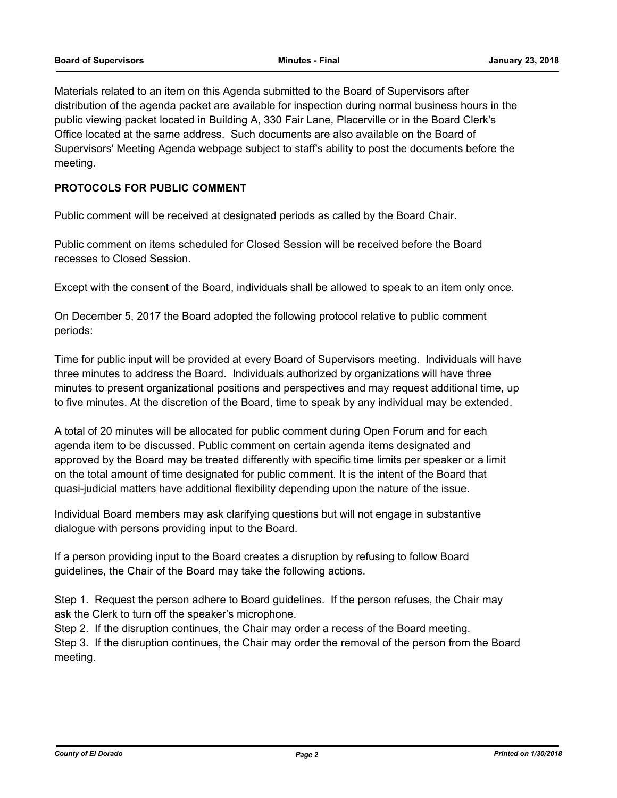Materials related to an item on this Agenda submitted to the Board of Supervisors after distribution of the agenda packet are available for inspection during normal business hours in the public viewing packet located in Building A, 330 Fair Lane, Placerville or in the Board Clerk's Office located at the same address. Such documents are also available on the Board of Supervisors' Meeting Agenda webpage subject to staff's ability to post the documents before the meeting.

## **PROTOCOLS FOR PUBLIC COMMENT**

Public comment will be received at designated periods as called by the Board Chair.

Public comment on items scheduled for Closed Session will be received before the Board recesses to Closed Session.

Except with the consent of the Board, individuals shall be allowed to speak to an item only once.

On December 5, 2017 the Board adopted the following protocol relative to public comment periods:

Time for public input will be provided at every Board of Supervisors meeting. Individuals will have three minutes to address the Board. Individuals authorized by organizations will have three minutes to present organizational positions and perspectives and may request additional time, up to five minutes. At the discretion of the Board, time to speak by any individual may be extended.

A total of 20 minutes will be allocated for public comment during Open Forum and for each agenda item to be discussed. Public comment on certain agenda items designated and approved by the Board may be treated differently with specific time limits per speaker or a limit on the total amount of time designated for public comment. It is the intent of the Board that quasi-judicial matters have additional flexibility depending upon the nature of the issue.

Individual Board members may ask clarifying questions but will not engage in substantive dialogue with persons providing input to the Board.

If a person providing input to the Board creates a disruption by refusing to follow Board guidelines, the Chair of the Board may take the following actions.

Step 1. Request the person adhere to Board guidelines. If the person refuses, the Chair may ask the Clerk to turn off the speaker's microphone.

Step 2. If the disruption continues, the Chair may order a recess of the Board meeting.

Step 3. If the disruption continues, the Chair may order the removal of the person from the Board meeting.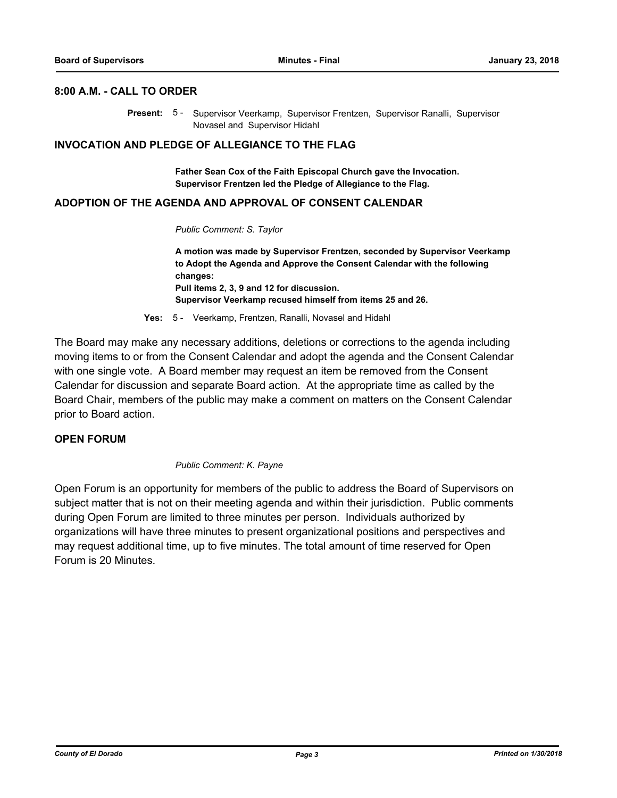#### **8:00 A.M. - CALL TO ORDER**

Present: 5 - Supervisor Veerkamp, Supervisor Frentzen, Supervisor Ranalli, Supervisor Novasel and Supervisor Hidahl

#### **INVOCATION AND PLEDGE OF ALLEGIANCE TO THE FLAG**

**Father Sean Cox of the Faith Episcopal Church gave the Invocation. Supervisor Frentzen led the Pledge of Allegiance to the Flag.**

#### **ADOPTION OF THE AGENDA AND APPROVAL OF CONSENT CALENDAR**

*Public Comment: S. Taylor*

**A motion was made by Supervisor Frentzen, seconded by Supervisor Veerkamp to Adopt the Agenda and Approve the Consent Calendar with the following changes: Pull items 2, 3, 9 and 12 for discussion. Supervisor Veerkamp recused himself from items 25 and 26.**

**Yes:** 5 - Veerkamp, Frentzen, Ranalli, Novasel and Hidahl

The Board may make any necessary additions, deletions or corrections to the agenda including moving items to or from the Consent Calendar and adopt the agenda and the Consent Calendar with one single vote. A Board member may request an item be removed from the Consent Calendar for discussion and separate Board action. At the appropriate time as called by the Board Chair, members of the public may make a comment on matters on the Consent Calendar prior to Board action.

#### **OPEN FORUM**

#### *Public Comment: K. Payne*

Open Forum is an opportunity for members of the public to address the Board of Supervisors on subject matter that is not on their meeting agenda and within their jurisdiction. Public comments during Open Forum are limited to three minutes per person. Individuals authorized by organizations will have three minutes to present organizational positions and perspectives and may request additional time, up to five minutes. The total amount of time reserved for Open Forum is 20 Minutes.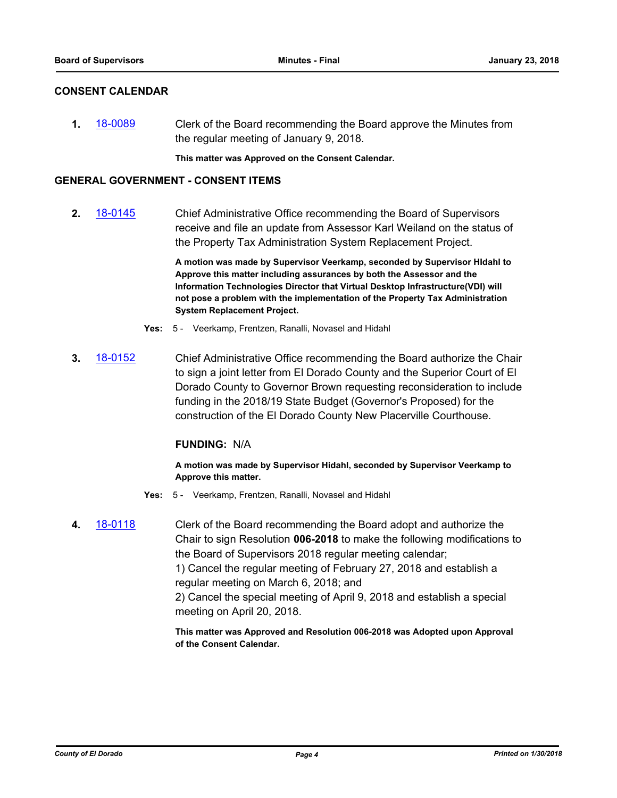### **CONSENT CALENDAR**

**1.** [18-0089](http://eldorado.legistar.com/gateway.aspx?m=l&id=/matter.aspx?key=23430) Clerk of the Board recommending the Board approve the Minutes from the regular meeting of January 9, 2018.

**This matter was Approved on the Consent Calendar.**

### **GENERAL GOVERNMENT - CONSENT ITEMS**

**2.** [18-0145](http://eldorado.legistar.com/gateway.aspx?m=l&id=/matter.aspx?key=23487) Chief Administrative Office recommending the Board of Supervisors receive and file an update from Assessor Karl Weiland on the status of the Property Tax Administration System Replacement Project.

> **A motion was made by Supervisor Veerkamp, seconded by Supervisor HIdahl to Approve this matter including assurances by both the Assessor and the Information Technologies Director that Virtual Desktop Infrastructure(VDI) will not pose a problem with the implementation of the Property Tax Administration System Replacement Project.**

- **Yes:** 5 Veerkamp, Frentzen, Ranalli, Novasel and Hidahl
- **3.** [18-0152](http://eldorado.legistar.com/gateway.aspx?m=l&id=/matter.aspx?key=23494) Chief Administrative Office recommending the Board authorize the Chair to sign a joint letter from El Dorado County and the Superior Court of El Dorado County to Governor Brown requesting reconsideration to include funding in the 2018/19 State Budget (Governor's Proposed) for the construction of the El Dorado County New Placerville Courthouse.

#### **FUNDING:** N/A

**A motion was made by Supervisor Hidahl, seconded by Supervisor Veerkamp to Approve this matter.**

- **Yes:** 5 Veerkamp, Frentzen, Ranalli, Novasel and Hidahl
- **4.** [18-0118](http://eldorado.legistar.com/gateway.aspx?m=l&id=/matter.aspx?key=23460) Clerk of the Board recommending the Board adopt and authorize the Chair to sign Resolution **006-2018** to make the following modifications to the Board of Supervisors 2018 regular meeting calendar; 1) Cancel the regular meeting of February 27, 2018 and establish a regular meeting on March 6, 2018; and 2) Cancel the special meeting of April 9, 2018 and establish a special meeting on April 20, 2018.

**This matter was Approved and Resolution 006-2018 was Adopted upon Approval of the Consent Calendar.**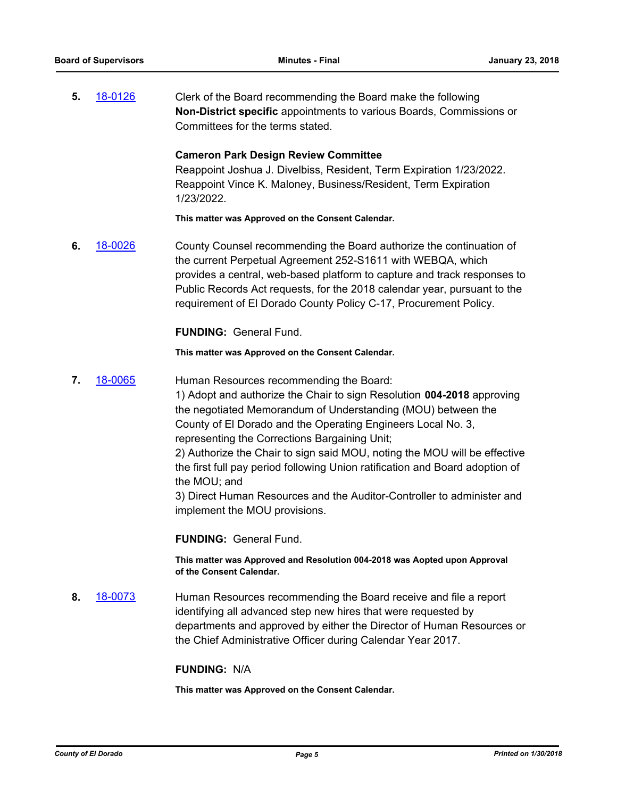**5.** [18-0126](http://eldorado.legistar.com/gateway.aspx?m=l&id=/matter.aspx?key=23468) Clerk of the Board recommending the Board make the following **Non-District specific** appointments to various Boards, Commissions or Committees for the terms stated.

#### **Cameron Park Design Review Committee**

Reappoint Joshua J. Divelbiss, Resident, Term Expiration 1/23/2022. Reappoint Vince K. Maloney, Business/Resident, Term Expiration 1/23/2022.

**This matter was Approved on the Consent Calendar.**

**6.** [18-0026](http://eldorado.legistar.com/gateway.aspx?m=l&id=/matter.aspx?key=23367) County Counsel recommending the Board authorize the continuation of the current Perpetual Agreement 252-S1611 with WEBQA, which provides a central, web-based platform to capture and track responses to Public Records Act requests, for the 2018 calendar year, pursuant to the requirement of El Dorado County Policy C-17, Procurement Policy.

**FUNDING:** General Fund.

#### **This matter was Approved on the Consent Calendar.**

**7.** [18-0065](http://eldorado.legistar.com/gateway.aspx?m=l&id=/matter.aspx?key=23406) Human Resources recommending the Board:

1) Adopt and authorize the Chair to sign Resolution **004-2018** approving the negotiated Memorandum of Understanding (MOU) between the County of El Dorado and the Operating Engineers Local No. 3, representing the Corrections Bargaining Unit;

2) Authorize the Chair to sign said MOU, noting the MOU will be effective the first full pay period following Union ratification and Board adoption of the MOU; and

3) Direct Human Resources and the Auditor-Controller to administer and implement the MOU provisions.

**FUNDING:** General Fund.

**This matter was Approved and Resolution 004-2018 was Aopted upon Approval of the Consent Calendar.**

**8.** [18-0073](http://eldorado.legistar.com/gateway.aspx?m=l&id=/matter.aspx?key=23414) Human Resources recommending the Board receive and file a report identifying all advanced step new hires that were requested by departments and approved by either the Director of Human Resources or the Chief Administrative Officer during Calendar Year 2017.

#### **FUNDING:** N/A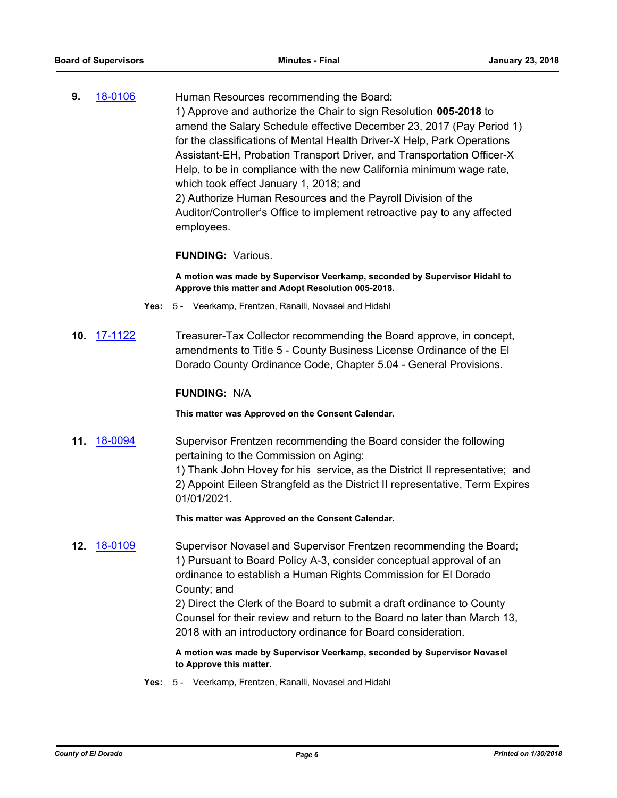**9.** [18-0106](http://eldorado.legistar.com/gateway.aspx?m=l&id=/matter.aspx?key=23448) Human Resources recommending the Board: 1) Approve and authorize the Chair to sign Resolution **005-2018** to amend the Salary Schedule effective December 23, 2017 (Pay Period 1) for the classifications of Mental Health Driver-X Help, Park Operations Assistant-EH, Probation Transport Driver, and Transportation Officer-X Help, to be in compliance with the new California minimum wage rate, which took effect January 1, 2018; and 2) Authorize Human Resources and the Payroll Division of the Auditor/Controller's Office to implement retroactive pay to any affected employees.

#### **FUNDING:** Various.

**A motion was made by Supervisor Veerkamp, seconded by Supervisor Hidahl to Approve this matter and Adopt Resolution 005-2018.**

- **Yes:** 5 Veerkamp, Frentzen, Ranalli, Novasel and Hidahl
- **10.** [17-1122](http://eldorado.legistar.com/gateway.aspx?m=l&id=/matter.aspx?key=23066) Treasurer-Tax Collector recommending the Board approve, in concept, amendments to Title 5 - County Business License Ordinance of the El Dorado County Ordinance Code, Chapter 5.04 - General Provisions.

#### **FUNDING:** N/A

**This matter was Approved on the Consent Calendar.**

**11.** [18-0094](http://eldorado.legistar.com/gateway.aspx?m=l&id=/matter.aspx?key=23435) Supervisor Frentzen recommending the Board consider the following pertaining to the Commission on Aging:

> 1) Thank John Hovey for his service, as the District II representative; and 2) Appoint Eileen Strangfeld as the District II representative, Term Expires 01/01/2021.

**This matter was Approved on the Consent Calendar.**

**12.** [18-0109](http://eldorado.legistar.com/gateway.aspx?m=l&id=/matter.aspx?key=23451) Supervisor Novasel and Supervisor Frentzen recommending the Board; 1) Pursuant to Board Policy A-3, consider conceptual approval of an ordinance to establish a Human Rights Commission for El Dorado County; and

2) Direct the Clerk of the Board to submit a draft ordinance to County Counsel for their review and return to the Board no later than March 13, 2018 with an introductory ordinance for Board consideration.

**A motion was made by Supervisor Veerkamp, seconded by Supervisor Novasel to Approve this matter.**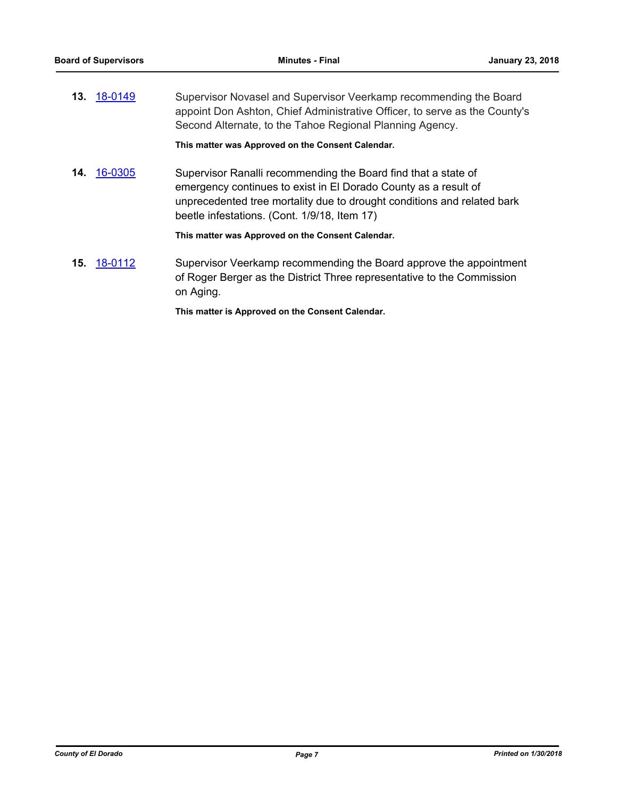| 13. <u>18-0149</u> | Supervisor Novasel and Supervisor Veerkamp recommending the Board          |
|--------------------|----------------------------------------------------------------------------|
|                    | appoint Don Ashton, Chief Administrative Officer, to serve as the County's |
|                    | Second Alternate, to the Tahoe Regional Planning Agency.                   |

**This matter was Approved on the Consent Calendar.**

**14.** [16-0305](http://eldorado.legistar.com/gateway.aspx?m=l&id=/matter.aspx?key=20961) Supervisor Ranalli recommending the Board find that a state of emergency continues to exist in El Dorado County as a result of unprecedented tree mortality due to drought conditions and related bark beetle infestations. (Cont. 1/9/18, Item 17)

**This matter was Approved on the Consent Calendar.**

**15.** [18-0112](http://eldorado.legistar.com/gateway.aspx?m=l&id=/matter.aspx?key=23454) Supervisor Veerkamp recommending the Board approve the appointment of Roger Berger as the District Three representative to the Commission on Aging.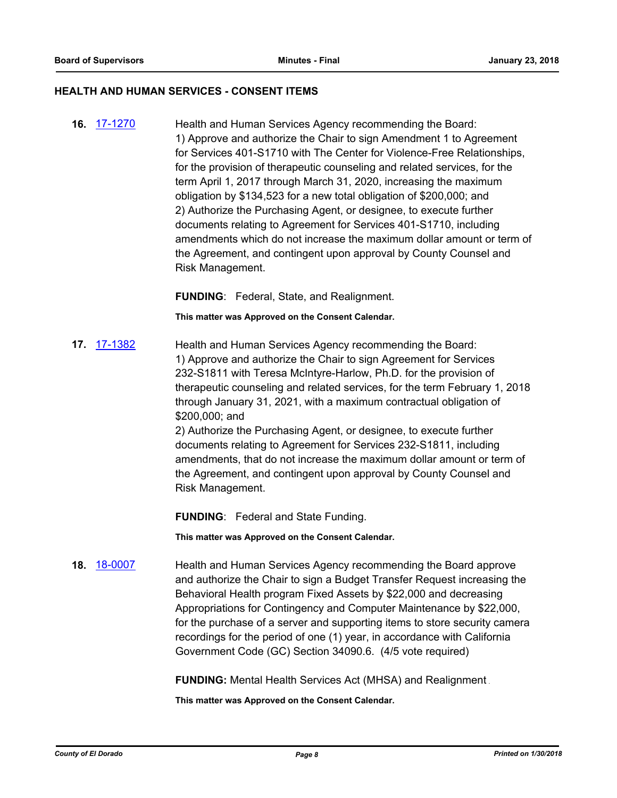#### **HEALTH AND HUMAN SERVICES - CONSENT ITEMS**

**16.** [17-1270](http://eldorado.legistar.com/gateway.aspx?m=l&id=/matter.aspx?key=23214) Health and Human Services Agency recommending the Board: 1) Approve and authorize the Chair to sign Amendment 1 to Agreement for Services 401-S1710 with The Center for Violence-Free Relationships, for the provision of therapeutic counseling and related services, for the term April 1, 2017 through March 31, 2020, increasing the maximum obligation by \$134,523 for a new total obligation of \$200,000; and 2) Authorize the Purchasing Agent, or designee, to execute further documents relating to Agreement for Services 401-S1710, including amendments which do not increase the maximum dollar amount or term of the Agreement, and contingent upon approval by County Counsel and Risk Management.

**FUNDING**: Federal, State, and Realignment.

**This matter was Approved on the Consent Calendar.**

**17.** [17-1382](http://eldorado.legistar.com/gateway.aspx?m=l&id=/matter.aspx?key=23328) Health and Human Services Agency recommending the Board: 1) Approve and authorize the Chair to sign Agreement for Services 232-S1811 with Teresa McIntyre-Harlow, Ph.D. for the provision of therapeutic counseling and related services, for the term February 1, 2018 through January 31, 2021, with a maximum contractual obligation of \$200,000; and

2) Authorize the Purchasing Agent, or designee, to execute further documents relating to Agreement for Services 232-S1811, including amendments, that do not increase the maximum dollar amount or term of the Agreement, and contingent upon approval by County Counsel and Risk Management.

**FUNDING**: Federal and State Funding.

**This matter was Approved on the Consent Calendar.**

**18.** [18-0007](http://eldorado.legistar.com/gateway.aspx?m=l&id=/matter.aspx?key=23348) Health and Human Services Agency recommending the Board approve and authorize the Chair to sign a Budget Transfer Request increasing the Behavioral Health program Fixed Assets by \$22,000 and decreasing Appropriations for Contingency and Computer Maintenance by \$22,000, for the purchase of a server and supporting items to store security camera recordings for the period of one (1) year, in accordance with California Government Code (GC) Section 34090.6. (4/5 vote required)

**FUNDING:** Mental Health Services Act (MHSA) and Realignment .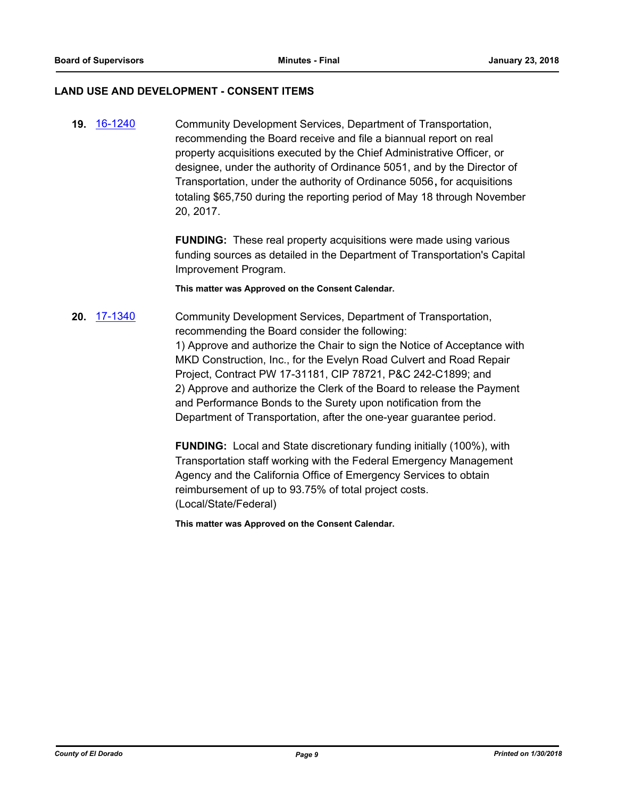#### **LAND USE AND DEVELOPMENT - CONSENT ITEMS**

**19.** [16-1240](http://eldorado.legistar.com/gateway.aspx?m=l&id=/matter.aspx?key=21900) Community Development Services, Department of Transportation, recommending the Board receive and file a biannual report on real property acquisitions executed by the Chief Administrative Officer, or designee, under the authority of Ordinance 5051, and by the Director of Transportation, under the authority of Ordinance 5056**,** for acquisitions totaling \$65,750 during the reporting period of May 18 through November 20, 2017.

> **FUNDING:** These real property acquisitions were made using various funding sources as detailed in the Department of Transportation's Capital Improvement Program.

**This matter was Approved on the Consent Calendar.**

**20.** [17-1340](http://eldorado.legistar.com/gateway.aspx?m=l&id=/matter.aspx?key=23286) Community Development Services, Department of Transportation, recommending the Board consider the following: 1) Approve and authorize the Chair to sign the Notice of Acceptance with MKD Construction, Inc., for the Evelyn Road Culvert and Road Repair Project, Contract PW 17-31181, CIP 78721, P&C 242-C1899; and 2) Approve and authorize the Clerk of the Board to release the Payment and Performance Bonds to the Surety upon notification from the Department of Transportation, after the one-year guarantee period.

> **FUNDING:** Local and State discretionary funding initially (100%), with Transportation staff working with the Federal Emergency Management Agency and the California Office of Emergency Services to obtain reimbursement of up to 93.75% of total project costs. (Local/State/Federal)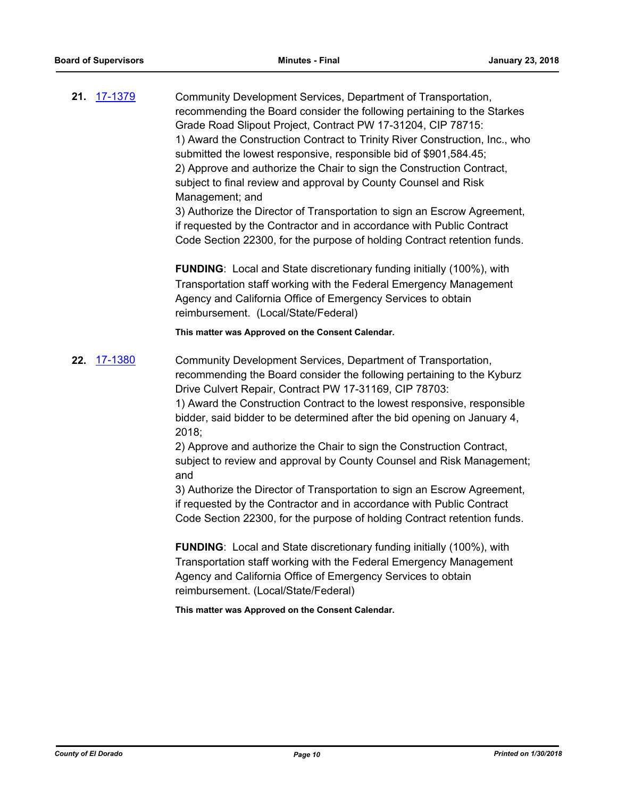**21.** [17-1379](http://eldorado.legistar.com/gateway.aspx?m=l&id=/matter.aspx?key=23325) Community Development Services, Department of Transportation, recommending the Board consider the following pertaining to the Starkes Grade Road Slipout Project, Contract PW 17-31204, CIP 78715: 1) Award the Construction Contract to Trinity River Construction, Inc., who submitted the lowest responsive, responsible bid of \$901,584.45; 2) Approve and authorize the Chair to sign the Construction Contract, subject to final review and approval by County Counsel and Risk Management; and 3) Authorize the Director of Transportation to sign an Escrow Agreement, if requested by the Contractor and in accordance with Public Contract

Code Section 22300, for the purpose of holding Contract retention funds.

**FUNDING**: Local and State discretionary funding initially (100%), with Transportation staff working with the Federal Emergency Management Agency and California Office of Emergency Services to obtain reimbursement. (Local/State/Federal)

**This matter was Approved on the Consent Calendar.**

**22.** [17-1380](http://eldorado.legistar.com/gateway.aspx?m=l&id=/matter.aspx?key=23326) Community Development Services, Department of Transportation, recommending the Board consider the following pertaining to the Kyburz Drive Culvert Repair, Contract PW 17-31169, CIP 78703:

> 1) Award the Construction Contract to the lowest responsive, responsible bidder, said bidder to be determined after the bid opening on January 4, 2018;

2) Approve and authorize the Chair to sign the Construction Contract, subject to review and approval by County Counsel and Risk Management; and

3) Authorize the Director of Transportation to sign an Escrow Agreement, if requested by the Contractor and in accordance with Public Contract Code Section 22300, for the purpose of holding Contract retention funds.

**FUNDING**: Local and State discretionary funding initially (100%), with Transportation staff working with the Federal Emergency Management Agency and California Office of Emergency Services to obtain reimbursement. (Local/State/Federal)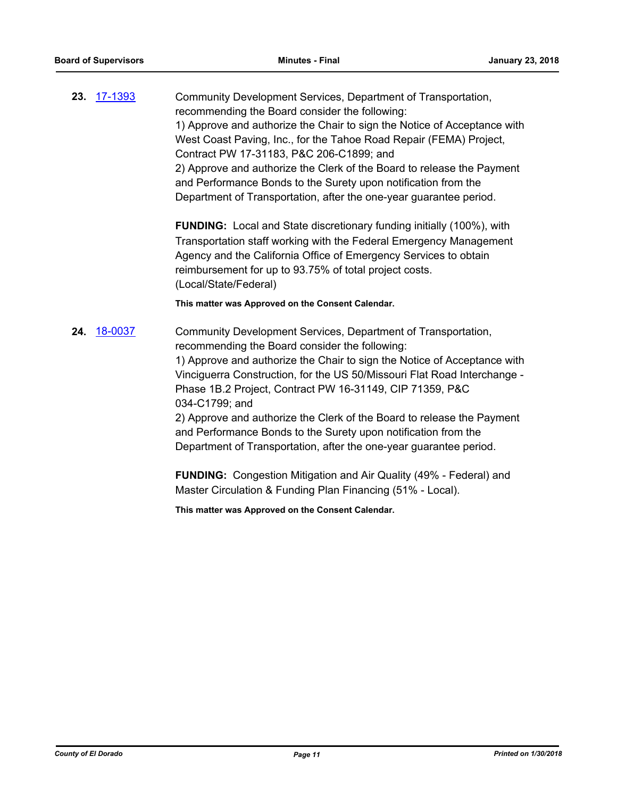**23.** [17-1393](http://eldorado.legistar.com/gateway.aspx?m=l&id=/matter.aspx?key=23339) Community Development Services, Department of Transportation, recommending the Board consider the following: 1) Approve and authorize the Chair to sign the Notice of Acceptance with West Coast Paving, Inc., for the Tahoe Road Repair (FEMA) Project, Contract PW 17-31183, P&C 206-C1899; and 2) Approve and authorize the Clerk of the Board to release the Payment and Performance Bonds to the Surety upon notification from the Department of Transportation, after the one-year guarantee period.

> **FUNDING:** Local and State discretionary funding initially (100%), with Transportation staff working with the Federal Emergency Management Agency and the California Office of Emergency Services to obtain reimbursement for up to 93.75% of total project costs. (Local/State/Federal)

#### **This matter was Approved on the Consent Calendar.**

**24.** [18-0037](http://eldorado.legistar.com/gateway.aspx?m=l&id=/matter.aspx?key=23378) Community Development Services, Department of Transportation, recommending the Board consider the following: 1) Approve and authorize the Chair to sign the Notice of Acceptance with Vinciguerra Construction, for the US 50/Missouri Flat Road Interchange - Phase 1B.2 Project, Contract PW 16-31149, CIP 71359, P&C 034-C1799; and 2) Approve and authorize the Clerk of the Board to release the Payment

and Performance Bonds to the Surety upon notification from the Department of Transportation, after the one-year guarantee period.

**FUNDING:** Congestion Mitigation and Air Quality (49% - Federal) and Master Circulation & Funding Plan Financing (51% - Local).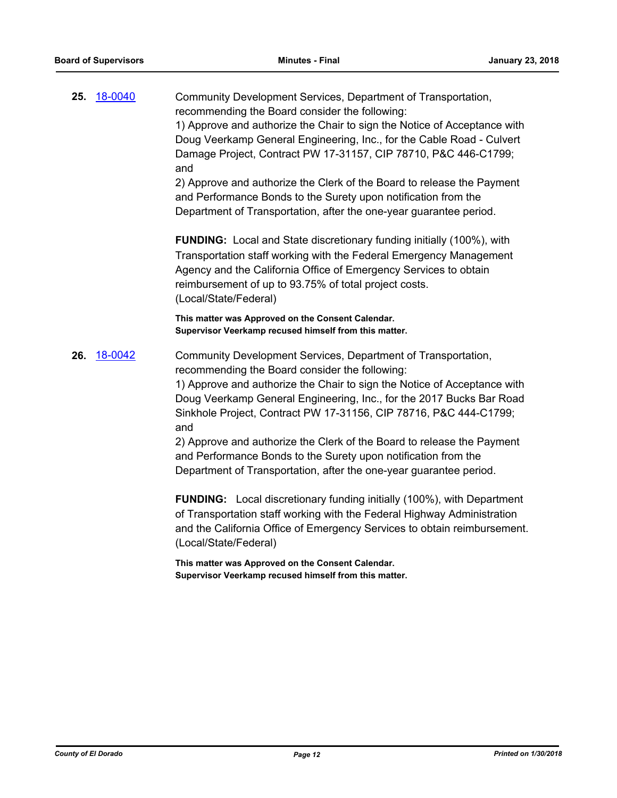| 25. | 18-0040 | Community Development Services, Department of Transportation,<br>recommending the Board consider the following:<br>1) Approve and authorize the Chair to sign the Notice of Acceptance with<br>Doug Veerkamp General Engineering, Inc., for the Cable Road - Culvert<br>Damage Project, Contract PW 17-31157, CIP 78710, P&C 446-C1799;<br>and<br>2) Approve and authorize the Clerk of the Board to release the Payment<br>and Performance Bonds to the Surety upon notification from the<br>Department of Transportation, after the one-year guarantee period.  |
|-----|---------|-------------------------------------------------------------------------------------------------------------------------------------------------------------------------------------------------------------------------------------------------------------------------------------------------------------------------------------------------------------------------------------------------------------------------------------------------------------------------------------------------------------------------------------------------------------------|
|     |         | <b>FUNDING:</b> Local and State discretionary funding initially (100%), with<br>Transportation staff working with the Federal Emergency Management<br>Agency and the California Office of Emergency Services to obtain<br>reimbursement of up to 93.75% of total project costs.<br>(Local/State/Federal)                                                                                                                                                                                                                                                          |
|     |         | This matter was Approved on the Consent Calendar.<br>Supervisor Veerkamp recused himself from this matter.                                                                                                                                                                                                                                                                                                                                                                                                                                                        |
| 26. | 18-0042 | Community Development Services, Department of Transportation,<br>recommending the Board consider the following:<br>1) Approve and authorize the Chair to sign the Notice of Acceptance with<br>Doug Veerkamp General Engineering, Inc., for the 2017 Bucks Bar Road<br>Sinkhole Project, Contract PW 17-31156, CIP 78716, P&C 444-C1799;<br>and<br>2) Approve and authorize the Clerk of the Board to release the Payment<br>and Performance Bonds to the Surety upon notification from the<br>Department of Transportation, after the one-year guarantee period. |
|     |         | <b>FUNDING:</b> Local discretionary funding initially (100%), with Department<br>of Transportation staff working with the Federal Highway Administration<br>and the California Office of Emergency Services to obtain reimbursement.<br>(Local/State/Federal)                                                                                                                                                                                                                                                                                                     |
|     |         | This matter was Approved on the Consent Calendar.<br>Supervisor Veerkamp recused himself from this matter.                                                                                                                                                                                                                                                                                                                                                                                                                                                        |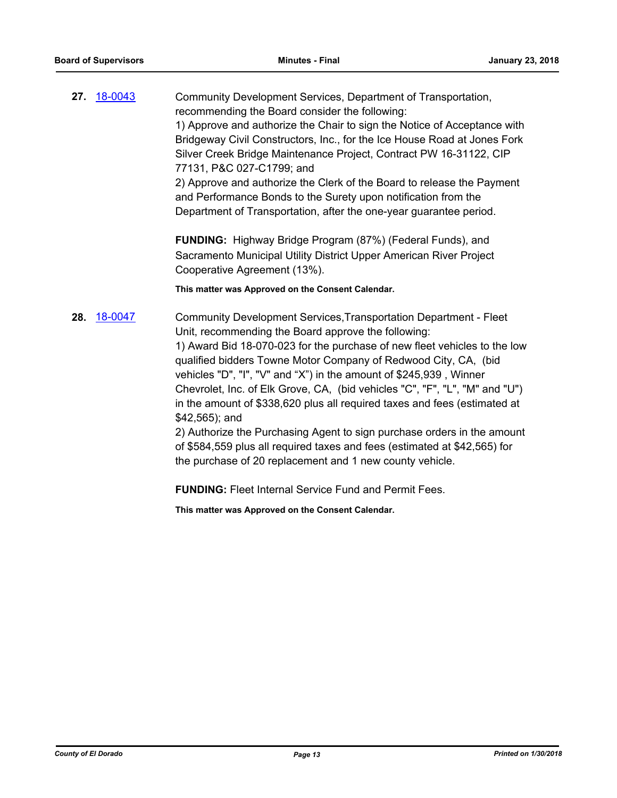|     | 27. 18-0043 | Community Development Services, Department of Transportation,<br>recommending the Board consider the following:<br>1) Approve and authorize the Chair to sign the Notice of Acceptance with<br>Bridgeway Civil Constructors, Inc., for the Ice House Road at Jones Fork<br>Silver Creek Bridge Maintenance Project, Contract PW 16-31122, CIP<br>77131, P&C 027-C1799; and<br>2) Approve and authorize the Clerk of the Board to release the Payment<br>and Performance Bonds to the Surety upon notification from the<br>Department of Transportation, after the one-year guarantee period.                                                                                         |
|-----|-------------|--------------------------------------------------------------------------------------------------------------------------------------------------------------------------------------------------------------------------------------------------------------------------------------------------------------------------------------------------------------------------------------------------------------------------------------------------------------------------------------------------------------------------------------------------------------------------------------------------------------------------------------------------------------------------------------|
|     |             | FUNDING: Highway Bridge Program (87%) (Federal Funds), and<br>Sacramento Municipal Utility District Upper American River Project<br>Cooperative Agreement (13%).                                                                                                                                                                                                                                                                                                                                                                                                                                                                                                                     |
|     |             | This matter was Approved on the Consent Calendar.                                                                                                                                                                                                                                                                                                                                                                                                                                                                                                                                                                                                                                    |
| 28. | 18-0047     | Community Development Services, Transportation Department - Fleet<br>Unit, recommending the Board approve the following:<br>1) Award Bid 18-070-023 for the purchase of new fleet vehicles to the low<br>qualified bidders Towne Motor Company of Redwood City, CA, (bid<br>vehicles "D", "I", "V" and "X") in the amount of \$245,939, Winner<br>Chevrolet, Inc. of Elk Grove, CA, (bid vehicles "C", "F", "L", "M" and "U")<br>in the amount of \$338,620 plus all required taxes and fees (estimated at<br>\$42,565); and<br>2) Authorize the Purchasing Agent to sign purchase orders in the amount<br>of \$584,559 plus all required taxes and fees (estimated at \$42,565) for |

the purchase of 20 replacement and 1 new county vehicle.

**FUNDING:** Fleet Internal Service Fund and Permit Fees.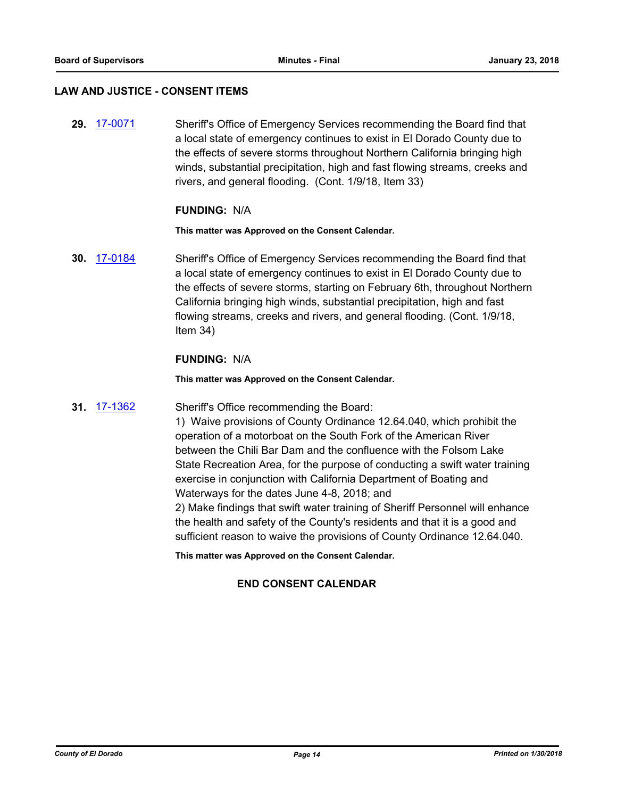#### **LAW AND JUSTICE - CONSENT ITEMS**

**29.** [17-0071](http://eldorado.legistar.com/gateway.aspx?m=l&id=/matter.aspx?key=22008) Sheriff's Office of Emergency Services recommending the Board find that a local state of emergency continues to exist in El Dorado County due to the effects of severe storms throughout Northern California bringing high winds, substantial precipitation, high and fast flowing streams, creeks and rivers, and general flooding. (Cont. 1/9/18, Item 33)

#### **FUNDING:** N/A

**This matter was Approved on the Consent Calendar.**

**30.** [17-0184](http://eldorado.legistar.com/gateway.aspx?m=l&id=/matter.aspx?key=22122) Sheriff's Office of Emergency Services recommending the Board find that a local state of emergency continues to exist in El Dorado County due to the effects of severe storms, starting on February 6th, throughout Northern California bringing high winds, substantial precipitation, high and fast flowing streams, creeks and rivers, and general flooding. (Cont. 1/9/18, Item 34)

### **FUNDING:** N/A

**This matter was Approved on the Consent Calendar.**

#### **31.** [17-1362](http://eldorado.legistar.com/gateway.aspx?m=l&id=/matter.aspx?key=23308) Sheriff's Office recommending the Board:

1) Waive provisions of County Ordinance 12.64.040, which prohibit the operation of a motorboat on the South Fork of the American River between the Chili Bar Dam and the confluence with the Folsom Lake State Recreation Area, for the purpose of conducting a swift water training exercise in conjunction with California Department of Boating and Waterways for the dates June 4-8, 2018; and

2) Make findings that swift water training of Sheriff Personnel will enhance the health and safety of the County's residents and that it is a good and sufficient reason to waive the provisions of County Ordinance 12.64.040.

**This matter was Approved on the Consent Calendar.**

## **END CONSENT CALENDAR**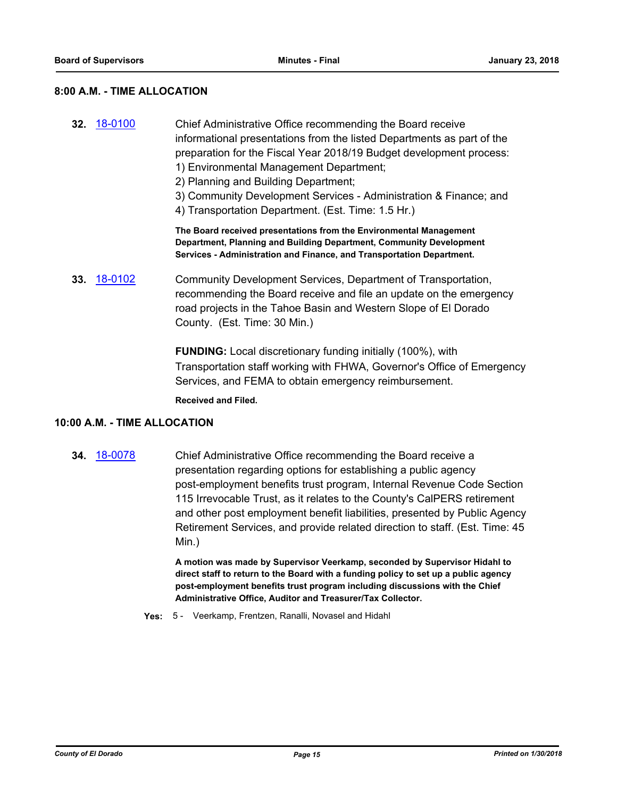## **8:00 A.M. - TIME ALLOCATION**

| 32. | 18-0100        | Chief Administrative Office recommending the Board receive<br>informational presentations from the listed Departments as part of the<br>preparation for the Fiscal Year 2018/19 Budget development process:<br>1) Environmental Management Department;<br>2) Planning and Building Department;<br>3) Community Development Services - Administration & Finance; and<br>4) Transportation Department. (Est. Time: 1.5 Hr.) |
|-----|----------------|---------------------------------------------------------------------------------------------------------------------------------------------------------------------------------------------------------------------------------------------------------------------------------------------------------------------------------------------------------------------------------------------------------------------------|
|     |                | The Board received presentations from the Environmental Management<br>Department, Planning and Building Department, Community Development<br>Services - Administration and Finance, and Transportation Department.                                                                                                                                                                                                        |
| 33. | <u>18-0102</u> | Community Development Services, Department of Transportation,<br>recommending the Board receive and file an update on the emergency<br>road projects in the Tahoe Basin and Western Slope of El Dorado<br>County. (Est. Time: 30 Min.)                                                                                                                                                                                    |

**FUNDING:** Local discretionary funding initially (100%), with Transportation staff working with FHWA, Governor's Office of Emergency Services, and FEMA to obtain emergency reimbursement.

**Received and Filed.**

### **10:00 A.M. - TIME ALLOCATION**

**34.** [18-0078](http://eldorado.legistar.com/gateway.aspx?m=l&id=/matter.aspx?key=23419) Chief Administrative Office recommending the Board receive a presentation regarding options for establishing a public agency post-employment benefits trust program, Internal Revenue Code Section 115 Irrevocable Trust, as it relates to the County's CalPERS retirement and other post employment benefit liabilities, presented by Public Agency Retirement Services, and provide related direction to staff. (Est. Time: 45 Min.)

> **A motion was made by Supervisor Veerkamp, seconded by Supervisor Hidahl to direct staff to return to the Board with a funding policy to set up a public agency post-employment benefits trust program including discussions with the Chief Administrative Office, Auditor and Treasurer/Tax Collector.**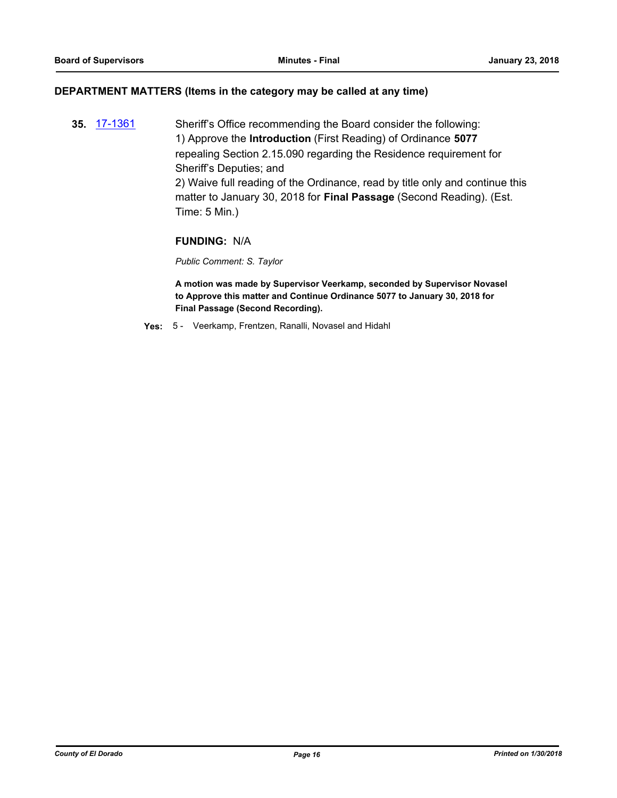#### **DEPARTMENT MATTERS (Items in the category may be called at any time)**

**35.** [17-1361](http://eldorado.legistar.com/gateway.aspx?m=l&id=/matter.aspx?key=23307) Sheriff's Office recommending the Board consider the following: 1) Approve the **Introduction** (First Reading) of Ordinance **5077** repealing Section 2.15.090 regarding the Residence requirement for Sheriff's Deputies; and 2) Waive full reading of the Ordinance, read by title only and continue this matter to January 30, 2018 for **Final Passage** (Second Reading). (Est. Time: 5 Min.)

## **FUNDING:** N/A

*Public Comment: S. Taylor*

**A motion was made by Supervisor Veerkamp, seconded by Supervisor Novasel to Approve this matter and Continue Ordinance 5077 to January 30, 2018 for Final Passage (Second Recording).**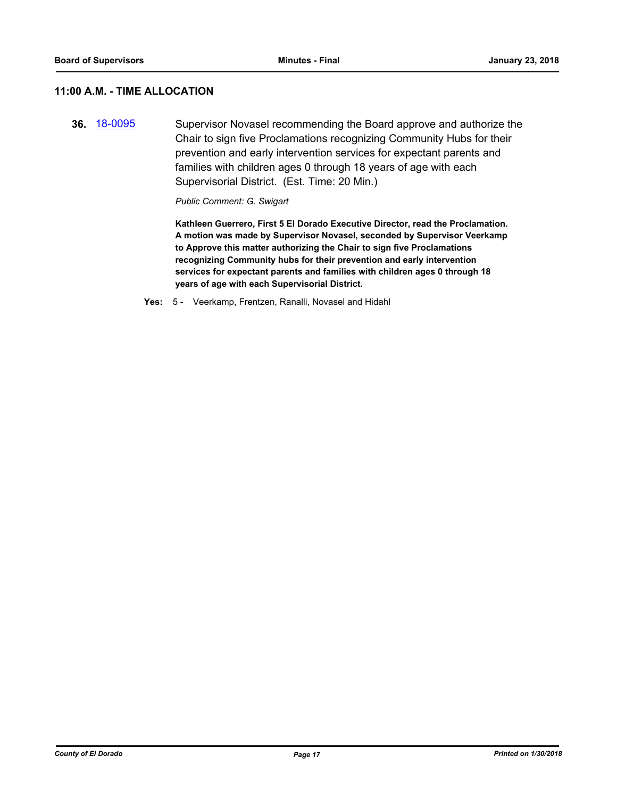## **11:00 A.M. - TIME ALLOCATION**

**36.** [18-0095](http://eldorado.legistar.com/gateway.aspx?m=l&id=/matter.aspx?key=23436) Supervisor Novasel recommending the Board approve and authorize the Chair to sign five Proclamations recognizing Community Hubs for their prevention and early intervention services for expectant parents and families with children ages 0 through 18 years of age with each Supervisorial District. (Est. Time: 20 Min.)

*Public Comment: G. Swigart*

**Kathleen Guerrero, First 5 El Dorado Executive Director, read the Proclamation. A motion was made by Supervisor Novasel, seconded by Supervisor Veerkamp to Approve this matter authorizing the Chair to sign five Proclamations recognizing Community hubs for their prevention and early intervention services for expectant parents and families with children ages 0 through 18 years of age with each Supervisorial District.**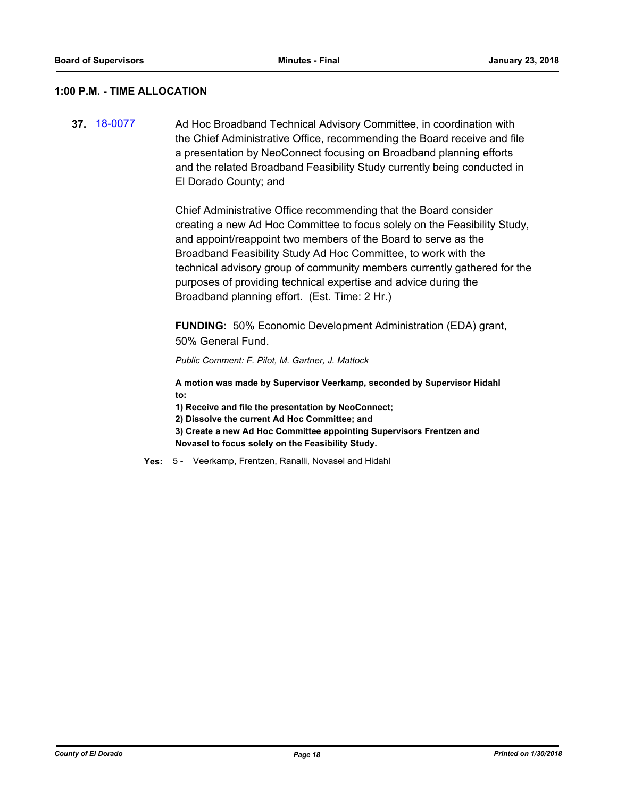#### **1:00 P.M. - TIME ALLOCATION**

**37.** [18-0077](http://eldorado.legistar.com/gateway.aspx?m=l&id=/matter.aspx?key=23418) Ad Hoc Broadband Technical Advisory Committee, in coordination with the Chief Administrative Office, recommending the Board receive and file a presentation by NeoConnect focusing on Broadband planning efforts and the related Broadband Feasibility Study currently being conducted in El Dorado County; and

> Chief Administrative Office recommending that the Board consider creating a new Ad Hoc Committee to focus solely on the Feasibility Study, and appoint/reappoint two members of the Board to serve as the Broadband Feasibility Study Ad Hoc Committee, to work with the technical advisory group of community members currently gathered for the purposes of providing technical expertise and advice during the Broadband planning effort. (Est. Time: 2 Hr.)

**FUNDING:** 50% Economic Development Administration (EDA) grant, 50% General Fund.

*Public Comment: F. Pilot, M. Gartner, J. Mattock*

**A motion was made by Supervisor Veerkamp, seconded by Supervisor Hidahl to:**

**1) Receive and file the presentation by NeoConnect;** 

**2) Dissolve the current Ad Hoc Committee; and**

**3) Create a new Ad Hoc Committee appointing Supervisors Frentzen and Novasel to focus solely on the Feasibility Study.**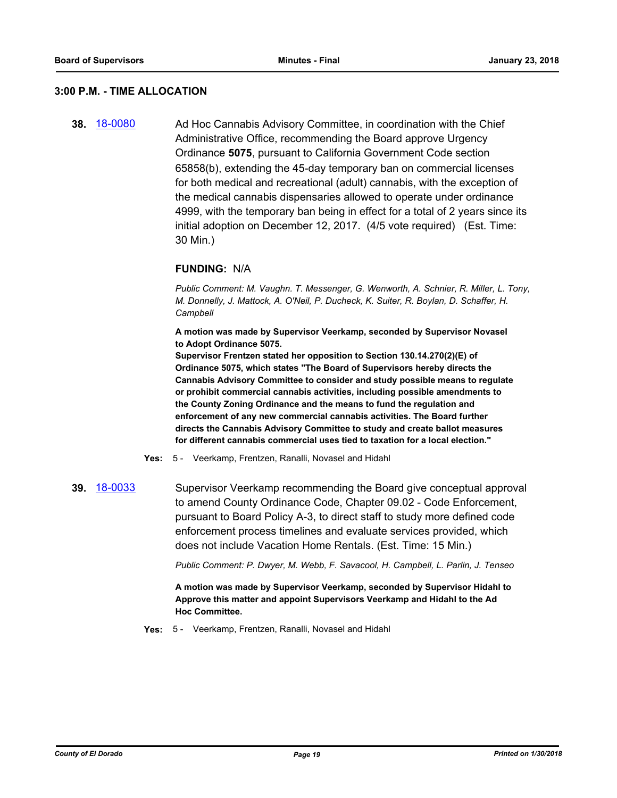#### **3:00 P.M. - TIME ALLOCATION**

**38.** [18-0080](http://eldorado.legistar.com/gateway.aspx?m=l&id=/matter.aspx?key=23421) Ad Hoc Cannabis Advisory Committee, in coordination with the Chief Administrative Office, recommending the Board approve Urgency Ordinance **5075**, pursuant to California Government Code section 65858(b), extending the 45-day temporary ban on commercial licenses for both medical and recreational (adult) cannabis, with the exception of the medical cannabis dispensaries allowed to operate under ordinance 4999, with the temporary ban being in effect for a total of 2 years since its initial adoption on December 12, 2017. (4/5 vote required) (Est. Time: 30 Min.)

#### **FUNDING:** N/A

*Public Comment: M. Vaughn. T. Messenger, G. Wenworth, A. Schnier, R. Miller, L. Tony, M. Donnelly, J. Mattock, A. O'Neil, P. Ducheck, K. Suiter, R. Boylan, D. Schaffer, H. Campbell*

**A motion was made by Supervisor Veerkamp, seconded by Supervisor Novasel to Adopt Ordinance 5075.**

**Supervisor Frentzen stated her opposition to Section 130.14.270(2)(E) of Ordinance 5075, which states "The Board of Supervisors hereby directs the Cannabis Advisory Committee to consider and study possible means to regulate or prohibit commercial cannabis activities, including possible amendments to the County Zoning Ordinance and the means to fund the regulation and enforcement of any new commercial cannabis activities. The Board further directs the Cannabis Advisory Committee to study and create ballot measures for different cannabis commercial uses tied to taxation for a local election."**

**Yes:** 5 - Veerkamp, Frentzen, Ranalli, Novasel and Hidahl

**39.** [18-0033](http://eldorado.legistar.com/gateway.aspx?m=l&id=/matter.aspx?key=23374) Supervisor Veerkamp recommending the Board give conceptual approval to amend County Ordinance Code, Chapter 09.02 - Code Enforcement, pursuant to Board Policy A-3, to direct staff to study more defined code enforcement process timelines and evaluate services provided, which does not include Vacation Home Rentals. (Est. Time: 15 Min.)

*Public Comment: P. Dwyer, M. Webb, F. Savacool, H. Campbell, L. Parlin, J. Tenseo*

**A motion was made by Supervisor Veerkamp, seconded by Supervisor Hidahl to Approve this matter and appoint Supervisors Veerkamp and Hidahl to the Ad Hoc Committee.**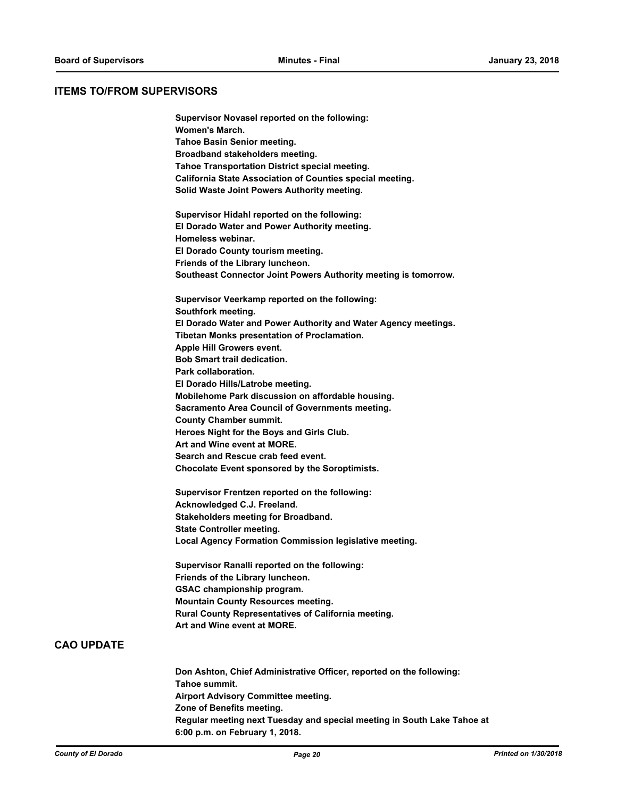**Supervisor Novasel reported on the following:**

#### **ITEMS TO/FROM SUPERVISORS**

**Women's March. Tahoe Basin Senior meeting. Broadband stakeholders meeting. Tahoe Transportation District special meeting. California State Association of Counties special meeting. Solid Waste Joint Powers Authority meeting. Supervisor Hidahl reported on the following: El Dorado Water and Power Authority meeting. Homeless webinar. El Dorado County tourism meeting. Friends of the Library luncheon. Southeast Connector Joint Powers Authority meeting is tomorrow. Supervisor Veerkamp reported on the following: Southfork meeting. El Dorado Water and Power Authority and Water Agency meetings. Tibetan Monks presentation of Proclamation. Apple Hill Growers event. Bob Smart trail dedication. Park collaboration. El Dorado Hills/Latrobe meeting. Mobilehome Park discussion on affordable housing. Sacramento Area Council of Governments meeting. County Chamber summit. Heroes Night for the Boys and Girls Club. Art and Wine event at MORE. Search and Rescue crab feed event. Chocolate Event sponsored by the Soroptimists. Supervisor Frentzen reported on the following: Acknowledged C.J. Freeland. Stakeholders meeting for Broadband. State Controller meeting. Local Agency Formation Commission legislative meeting. Supervisor Ranalli reported on the following: Friends of the Library luncheon. GSAC championship program. Mountain County Resources meeting. Rural County Representatives of California meeting. Art and Wine event at MORE. Don Ashton, Chief Administrative Officer, reported on the following: Tahoe summit. Airport Advisory Committee meeting. Zone of Benefits meeting. Regular meeting next Tuesday and special meeting in South Lake Tahoe at 6:00 p.m. on February 1, 2018.**

**CAO UPDATE**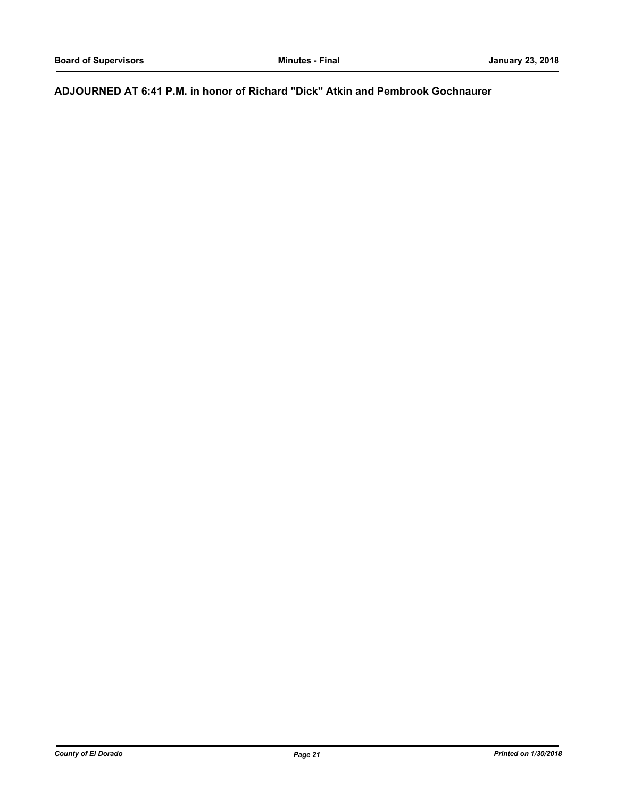## **ADJOURNED AT 6:41 P.M. in honor of Richard "Dick" Atkin and Pembrook Gochnaurer**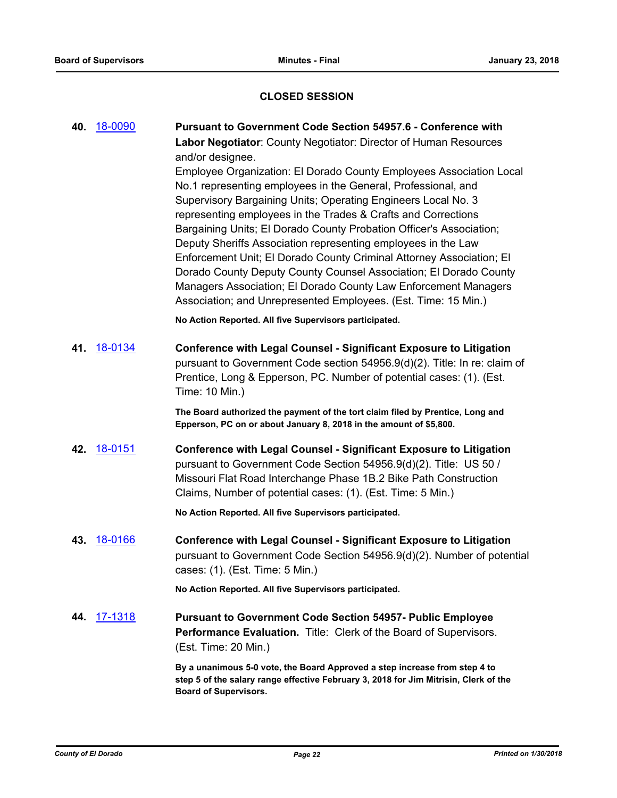## **CLOSED SESSION**

|     | 40. 18-0090    | Pursuant to Government Code Section 54957.6 - Conference with<br>Labor Negotiator: County Negotiator: Director of Human Resources<br>and/or designee.<br>Employee Organization: El Dorado County Employees Association Local<br>No.1 representing employees in the General, Professional, and<br>Supervisory Bargaining Units; Operating Engineers Local No. 3<br>representing employees in the Trades & Crafts and Corrections<br>Bargaining Units; El Dorado County Probation Officer's Association;<br>Deputy Sheriffs Association representing employees in the Law |
|-----|----------------|-------------------------------------------------------------------------------------------------------------------------------------------------------------------------------------------------------------------------------------------------------------------------------------------------------------------------------------------------------------------------------------------------------------------------------------------------------------------------------------------------------------------------------------------------------------------------|
|     |                | Enforcement Unit; El Dorado County Criminal Attorney Association; El<br>Dorado County Deputy County Counsel Association; El Dorado County<br>Managers Association; El Dorado County Law Enforcement Managers<br>Association; and Unrepresented Employees. (Est. Time: 15 Min.)                                                                                                                                                                                                                                                                                          |
|     |                | No Action Reported. All five Supervisors participated.                                                                                                                                                                                                                                                                                                                                                                                                                                                                                                                  |
| 41. | <u>18-0134</u> | <b>Conference with Legal Counsel - Significant Exposure to Litigation</b><br>pursuant to Government Code section 54956.9(d)(2). Title: In re: claim of<br>Prentice, Long & Epperson, PC. Number of potential cases: (1). (Est.<br>Time: 10 Min.)                                                                                                                                                                                                                                                                                                                        |
|     |                | The Board authorized the payment of the tort claim filed by Prentice, Long and<br>Epperson, PC on or about January 8, 2018 in the amount of \$5,800.                                                                                                                                                                                                                                                                                                                                                                                                                    |
|     | 42. 18-0151    | <b>Conference with Legal Counsel - Significant Exposure to Litigation</b><br>pursuant to Government Code Section 54956.9(d)(2). Title: US 50 /<br>Missouri Flat Road Interchange Phase 1B.2 Bike Path Construction<br>Claims, Number of potential cases: (1). (Est. Time: 5 Min.)                                                                                                                                                                                                                                                                                       |
|     |                | No Action Reported. All five Supervisors participated.                                                                                                                                                                                                                                                                                                                                                                                                                                                                                                                  |
| 43. | <u>18-0166</u> | <b>Conference with Legal Counsel - Significant Exposure to Litigation</b><br>pursuant to Government Code Section 54956.9(d)(2). Number of potential<br>cases: (1). (Est. Time: 5 Min.)                                                                                                                                                                                                                                                                                                                                                                                  |
|     |                | No Action Reported. All five Supervisors participated.                                                                                                                                                                                                                                                                                                                                                                                                                                                                                                                  |
| 44. | <u>17-1318</u> | <b>Pursuant to Government Code Section 54957- Public Employee</b><br>Performance Evaluation. Title: Clerk of the Board of Supervisors.<br>(Est. Time: 20 Min.)                                                                                                                                                                                                                                                                                                                                                                                                          |
|     |                | By a unanimous 5-0 vote, the Board Approved a step increase from step 4 to<br>step 5 of the salary range effective February 3, 2018 for Jim Mitrisin, Clerk of the<br><b>Board of Supervisors.</b>                                                                                                                                                                                                                                                                                                                                                                      |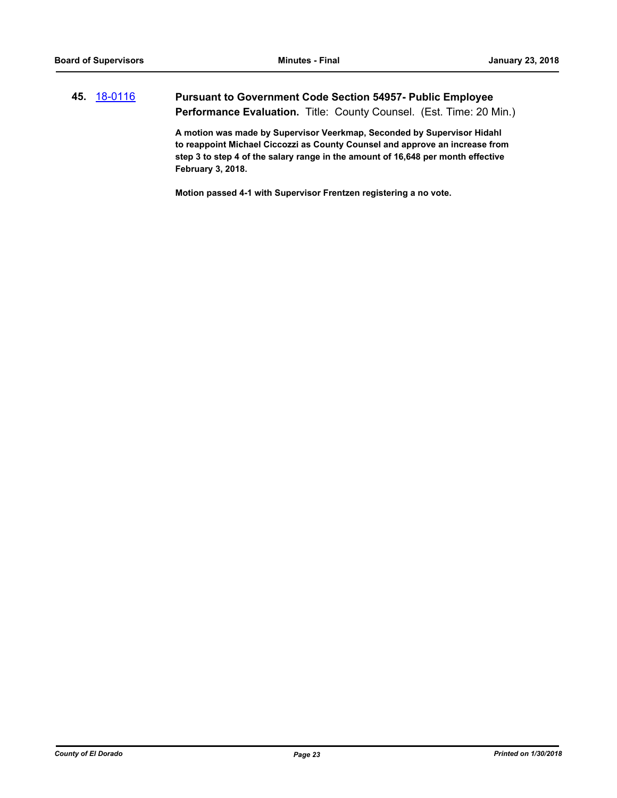## **45.** [18-0116](http://eldorado.legistar.com/gateway.aspx?m=l&id=/matter.aspx?key=23458) **Pursuant to Government Code Section 54957- Public Employee**  Performance Evaluation. Title: County Counsel. (Est. Time: 20 Min.)

**A motion was made by Supervisor Veerkmap, Seconded by Supervisor Hidahl to reappoint Michael Ciccozzi as County Counsel and approve an increase from step 3 to step 4 of the salary range in the amount of 16,648 per month effective February 3, 2018.**

**Motion passed 4-1 with Supervisor Frentzen registering a no vote.**